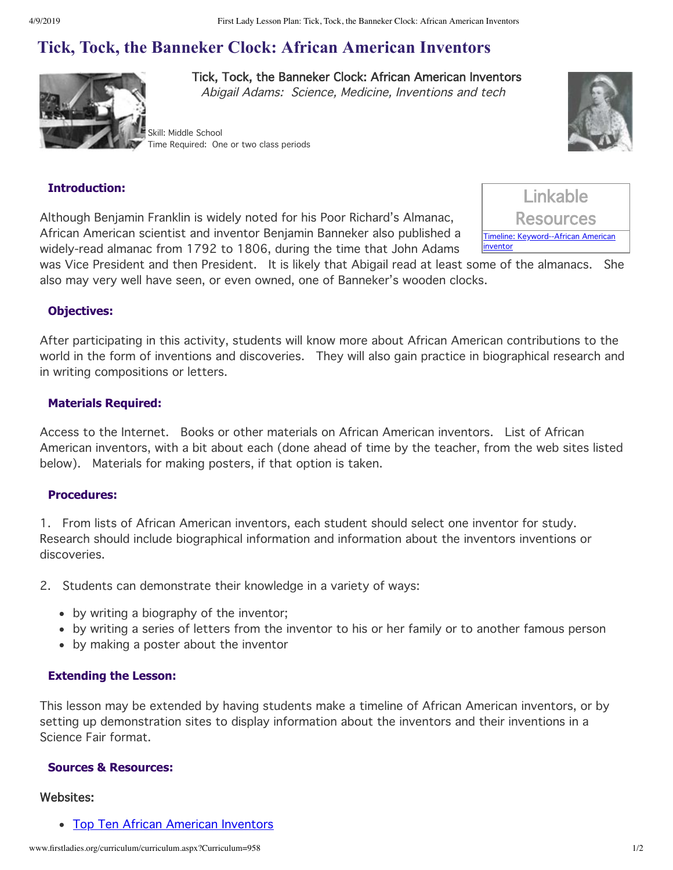# **Tick, Tock, the Banneker Clock: African American Inventors**



Tick, Tock, the Banneker Clock: African American Inventors Abigail Adams: Science, Medicine, Inventions and tech

Skill: Middle School Time Required: One or two class periods



# **Introduction:**

Although Benjamin Franklin is widely noted for his Poor Richard's Almanac, African American scientist and inventor Benjamin Banneker also published a widely-read almanac from 1792 to 1806, during the time that John Adams



was Vice President and then President. It is likely that Abigail read at least some of the almanacs. She also may very well have seen, or even owned, one of Banneker's wooden clocks.

# **Objectives:**

After participating in this activity, students will know more about African American contributions to the world in the form of inventions and discoveries. They will also gain practice in biographical research and in writing compositions or letters.

### **Materials Required:**

Access to the Internet. Books or other materials on African American inventors. List of African American inventors, with a bit about each (done ahead of time by the teacher, from the web sites listed below). Materials for making posters, if that option is taken.

# **Procedures:**

1. From lists of African American inventors, each student should select one inventor for study. Research should include biographical information and information about the inventors inventions or discoveries.

2. Students can demonstrate their knowledge in a variety of ways:

- by writing a biography of the inventor;
- by writing a series of letters from the inventor to his or her family or to another famous person
- by making a poster about the inventor

# **Extending the Lesson:**

This lesson may be extended by having students make a timeline of African American inventors, or by setting up demonstration sites to display information about the inventors and their inventions in a Science Fair format.

#### **Sources & Resources:**

# Websites:

• [Top Ten African American Inventors](http://teacher.scholastic.com/activities/bhistory/inventors/)